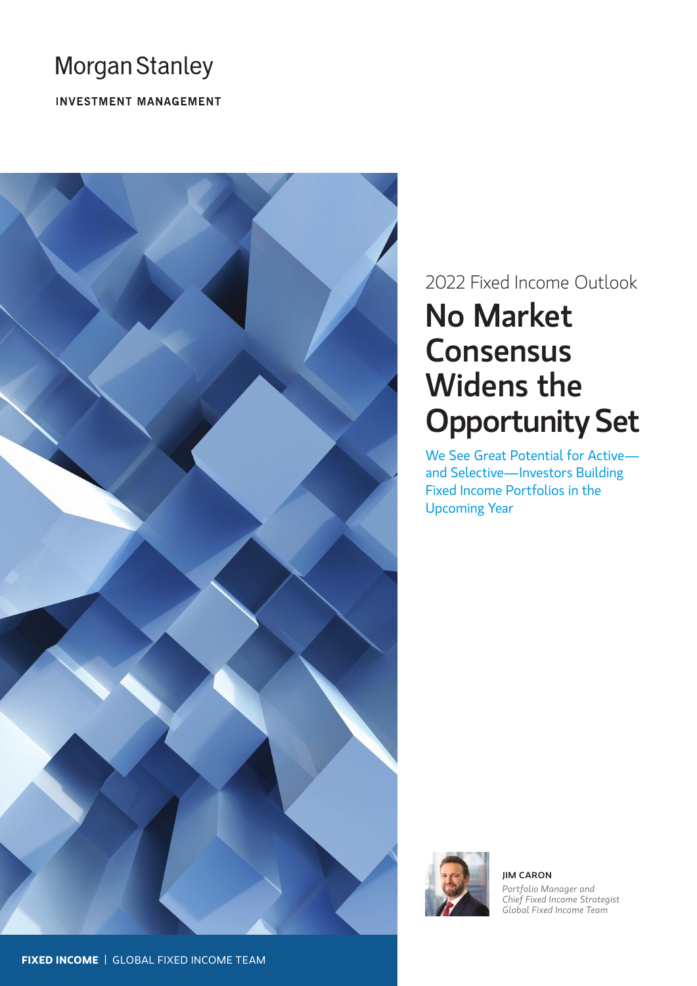## **Morgan Stanley**

**INVESTMENT MANAGEMENT** 



# 2022 Fixed Income Outlook No Market **Consensus** Widens the Opportunity Set

We See Great Potential for Active and Selective—Investors Building Fixed Income Portfolios in the Upcoming Year



JIM CARON *Portfolio Manager and Chief Fixed Income Strategist Global Fixed Income Team*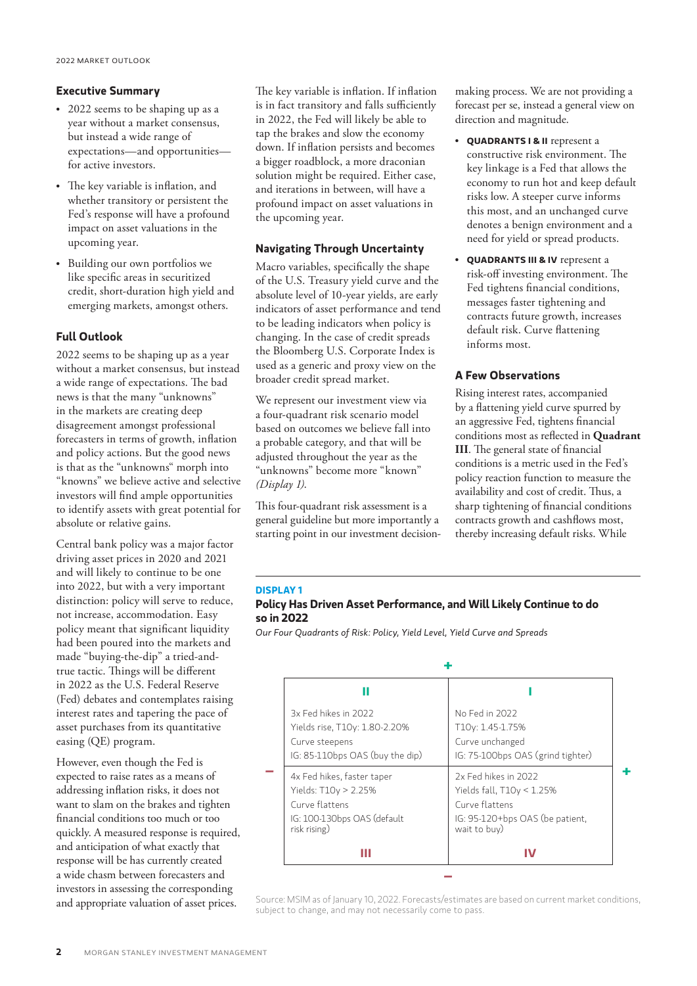## **Executive Summary**

- 2022 seems to be shaping up as a year without a market consensus, but instead a wide range of expectations—and opportunities for active investors.
- The key variable is inflation, and whether transitory or persistent the Fed's response will have a profound impact on asset valuations in the upcoming year.
- Building our own portfolios we like specific areas in securitized credit, short-duration high yield and emerging markets, amongst others.

## **Full Outlook**

2022 seems to be shaping up as a year without a market consensus, but instead a wide range of expectations. The bad news is that the many "unknowns" in the markets are creating deep disagreement amongst professional forecasters in terms of growth, inflation and policy actions. But the good news is that as the "unknowns" morph into "knowns" we believe active and selective investors will find ample opportunities to identify assets with great potential for absolute or relative gains.

Central bank policy was a major factor driving asset prices in 2020 and 2021 and will likely to continue to be one into 2022, but with a very important distinction: policy will serve to reduce, not increase, accommodation. Easy policy meant that significant liquidity had been poured into the markets and made "buying-the-dip" a tried-andtrue tactic. Things will be different in 2022 as the U.S. Federal Reserve (Fed) debates and contemplates raising interest rates and tapering the pace of asset purchases from its quantitative easing (QE) program.

However, even though the Fed is expected to raise rates as a means of addressing inflation risks, it does not want to slam on the brakes and tighten financial conditions too much or too quickly. A measured response is required, and anticipation of what exactly that response will be has currently created a wide chasm between forecasters and investors in assessing the corresponding and appropriate valuation of asset prices.

The key variable is inflation. If inflation is in fact transitory and falls sufficiently in 2022, the Fed will likely be able to tap the brakes and slow the economy down. If inflation persists and becomes a bigger roadblock, a more draconian solution might be required. Either case, and iterations in between, will have a profound impact on asset valuations in the upcoming year.

## **Navigating Through Uncertainty**

Macro variables, specifically the shape of the U.S. Treasury yield curve and the absolute level of 10-year yields, are early indicators of asset performance and tend to be leading indicators when policy is changing. In the case of credit spreads the Bloomberg U.S. Corporate Index is used as a generic and proxy view on the broader credit spread market.

We represent our investment view via a four-quadrant risk scenario model based on outcomes we believe fall into a probable category, and that will be adjusted throughout the year as the "unknowns" become more "known" *(Display 1)*.

This four-quadrant risk assessment is a general guideline but more importantly a starting point in our investment decisionmaking process. We are not providing a forecast per se, instead a general view on direction and magnitude.

- **QUADRANTS I & II** represent a constructive risk environment. The key linkage is a Fed that allows the economy to run hot and keep default risks low. A steeper curve informs this most, and an unchanged curve denotes a benign environment and a need for yield or spread products.
- **QUADRANTS III & IV** represent a risk-off investing environment. The Fed tightens financial conditions, messages faster tightening and contracts future growth, increases default risk. Curve flattening informs most.

## **A Few Observations**

Rising interest rates, accompanied by a flattening yield curve spurred by an aggressive Fed, tightens financial conditions most as reflected in **Quadrant III**. The general state of financial conditions is a metric used in the Fed's policy reaction function to measure the availability and cost of credit. Thus, a sharp tightening of financial conditions contracts growth and cashflows most, thereby increasing default risks. While

## **DISPLAY 1**

## **Policy Has Driven Asset Performance, and Will Likely Continue to do so in 2022**

*Our Four Quadrants of Risk: Policy, Yield Level, Yield Curve and Spreads*

| Ш                                           |                                                 |
|---------------------------------------------|-------------------------------------------------|
| 3x Fed hikes in 2022                        | No Fed in 2022                                  |
| Yields rise, T10y: 1.80-2.20%               | T10y: 1.45-1.75%                                |
| Curve steepens                              | Curve unchanged                                 |
| IG: 85-110bps OAS (buy the dip)             | IG: 75-100bps OAS (grind tighter)               |
| 4x Fed hikes, faster taper                  | 2x Fed hikes in 2022                            |
| Yields: T10y > 2.25%                        | Yields fall, T10y < 1.25%                       |
| Curve flattens                              | Curve flattens                                  |
| IG: 100-130bps OAS (default<br>risk rising) | IG: 95-120+bps OAS (be patient,<br>wait to buy) |
|                                             |                                                 |

Source: MSIM as of January 10, 2022. Forecasts/estimates are based on current market conditions, subject to change, and may not necessarily come to pass.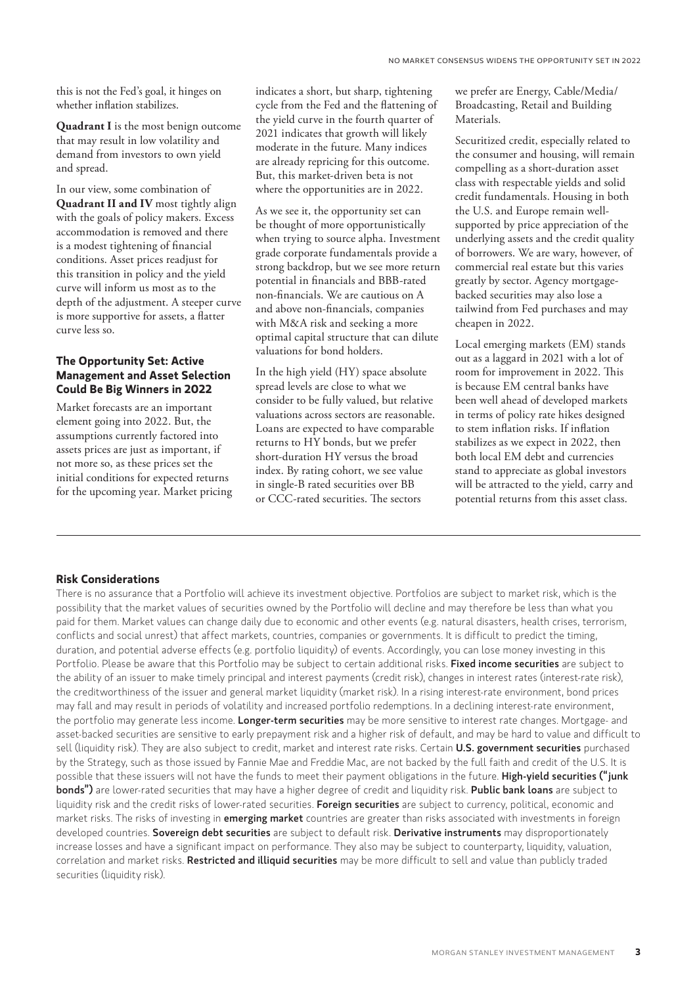this is not the Fed's goal, it hinges on whether inflation stabilizes.

**Quadrant I** is the most benign outcome that may result in low volatility and demand from investors to own yield and spread.

In our view, some combination of **Quadrant II and IV** most tightly align with the goals of policy makers. Excess accommodation is removed and there is a modest tightening of financial conditions. Asset prices readjust for this transition in policy and the yield curve will inform us most as to the depth of the adjustment. A steeper curve is more supportive for assets, a flatter curve less so.

## **The Opportunity Set: Active Management and Asset Selection Could Be Big Winners in 2022**

Market forecasts are an important element going into 2022. But, the assumptions currently factored into assets prices are just as important, if not more so, as these prices set the initial conditions for expected returns for the upcoming year. Market pricing indicates a short, but sharp, tightening cycle from the Fed and the flattening of the yield curve in the fourth quarter of 2021 indicates that growth will likely moderate in the future. Many indices are already repricing for this outcome. But, this market-driven beta is not where the opportunities are in 2022.

As we see it, the opportunity set can be thought of more opportunistically when trying to source alpha. Investment grade corporate fundamentals provide a strong backdrop, but we see more return potential in financials and BBB-rated non-financials. We are cautious on A and above non-financials, companies with M&A risk and seeking a more optimal capital structure that can dilute valuations for bond holders.

In the high yield (HY) space absolute spread levels are close to what we consider to be fully valued, but relative valuations across sectors are reasonable. Loans are expected to have comparable returns to HY bonds, but we prefer short-duration HY versus the broad index. By rating cohort, we see value in single-B rated securities over BB or CCC-rated securities. The sectors

we prefer are Energy, Cable/Media/ Broadcasting, Retail and Building Materials.

Securitized credit, especially related to the consumer and housing, will remain compelling as a short-duration asset class with respectable yields and solid credit fundamentals. Housing in both the U.S. and Europe remain wellsupported by price appreciation of the underlying assets and the credit quality of borrowers. We are wary, however, of commercial real estate but this varies greatly by sector. Agency mortgagebacked securities may also lose a tailwind from Fed purchases and may cheapen in 2022.

Local emerging markets (EM) stands out as a laggard in 2021 with a lot of room for improvement in 2022. This is because EM central banks have been well ahead of developed markets in terms of policy rate hikes designed to stem inflation risks. If inflation stabilizes as we expect in 2022, then both local EM debt and currencies stand to appreciate as global investors will be attracted to the yield, carry and potential returns from this asset class.

### **Risk Considerations**

There is no assurance that a Portfolio will achieve its investment objective. Portfolios are subject to market risk, which is the possibility that the market values of securities owned by the Portfolio will decline and may therefore be less than what you paid for them. Market values can change daily due to economic and other events (e.g. natural disasters, health crises, terrorism, conflicts and social unrest) that affect markets, countries, companies or governments. It is difficult to predict the timing, duration, and potential adverse effects (e.g. portfolio liquidity) of events. Accordingly, you can lose money investing in this Portfolio. Please be aware that this Portfolio may be subject to certain additional risks. Fixed income securities are subiect to the ability of an issuer to make timely principal and interest payments (credit risk), changes in interest rates (interest-rate risk), the creditworthiness of the issuer and general market liquidity (market risk). In a rising interest-rate environment, bond prices may fall and may result in periods of volatility and increased portfolio redemptions. In a declining interest-rate environment, the portfolio may generate less income. Longer-term securities may be more sensitive to interest rate changes. Mortgage- and asset-backed securities are sensitive to early prepayment risk and a higher risk of default, and may be hard to value and difficult to sell (liquidity risk). They are also subject to credit, market and interest rate risks. Certain U.S. government securities purchased by the Strategy, such as those issued by Fannie Mae and Freddie Mac, are not backed by the full faith and credit of the U.S. It is possible that these issuers will not have the funds to meet their payment obligations in the future. High-vield securities ("iunk bonds") are lower-rated securities that may have a higher degree of credit and liquidity risk. Public bank loans are subject to liquidity risk and the credit risks of lower-rated securities. Foreign securities are subject to currency, political, economic and market risks. The risks of investing in **emerging market** countries are greater than risks associated with investments in foreign developed countries. Sovereign debt securities are subject to default risk. Derivative instruments may disproportionately increase losses and have a significant impact on performance. They also may be subject to counterparty, liquidity, valuation, correlation and market risks. Restricted and illiquid securities may be more difficult to sell and value than publicly traded securities (liquidity risk).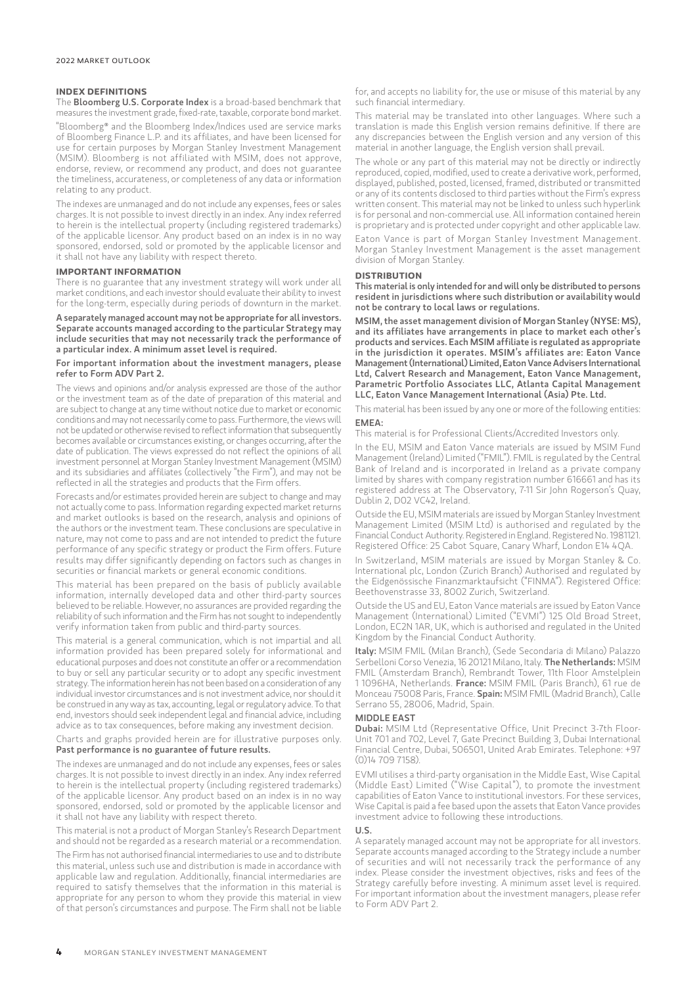#### **INDEX DEFINITIONS**

The Bloomberg U.S. Corporate Index is a broad-based benchmark that measures the investment grade, fixed-rate, taxable, corporate bond market.

"Bloomberg® and the Bloomberg Index/Indices used are service marks of Bloomberg Finance L.P. and its affiliates, and have been licensed for use for certain purposes by Morgan Stanley Investment Management (MSIM). Bloomberg is not affiliated with MSIM, does not approve, endorse, review, or recommend any product, and does not guarantee the timeliness, accurateness, or completeness of any data or information relating to any product.

The indexes are unmanaged and do not include any expenses, fees or sales charges. It is not possible to invest directly in an index. Any index referred to herein is the intellectual property (including registered trademarks) of the applicable licensor. Any product based on an index is in no way sponsored, endorsed, sold or promoted by the applicable licensor and it shall not have any liability with respect thereto.

#### **IMPORTANT INFORMATION**

There is no guarantee that any investment strategy will work under all market conditions, and each investor should evaluate their ability to invest for the long-term, especially during periods of downturn in the market.

A separately managed account may not be appropriate for all investors. Separate accounts managed according to the particular Strategy may include securities that may not necessarily track the performance of a particular index. A minimum asset level is required.

#### For important information about the investment managers, please refer to Form ADV Part 2.

The views and opinions and/or analysis expressed are those of the author or the investment team as of the date of preparation of this material and are subject to change at any time without notice due to market or economic conditions and may not necessarily come to pass. Furthermore, the views will not be updated or otherwise revised to reflect information that subsequently becomes available or circumstances existing, or changes occurring, after the date of publication. The views expressed do not reflect the opinions of all investment personnel at Morgan Stanley Investment Management (MSIM) and its subsidiaries and affiliates (collectively "the Firm"), and may not be reflected in all the strategies and products that the Firm offers.

Forecasts and/or estimates provided herein are subject to change and may not actually come to pass. Information regarding expected market returns and market outlooks is based on the research, analysis and opinions of the authors or the investment team. These conclusions are speculative in nature, may not come to pass and are not intended to predict the future performance of any specific strategy or product the Firm offers. Future results may differ significantly depending on factors such as changes in securities or financial markets or general economic conditions.

This material has been prepared on the basis of publicly available information, internally developed data and other third-party sources believed to be reliable. However, no assurances are provided regarding the reliability of such information and the Firm has not sought to independently verify information taken from public and third-party sources.

This material is a general communication, which is not impartial and all information provided has been prepared solely for informational and educational purposes and does not constitute an offer or a recommendation to buy or sell any particular security or to adopt any specific investment strategy. The information herein has not been based on a consideration of any individual investor circumstances and is not investment advice, nor should it be construed in any way as tax, accounting, legal or regulatory advice. To that end, investors should seek independent legal and financial advice, including advice as to tax consequences, before making any investment decision.

#### Charts and graphs provided herein are for illustrative purposes only. Past performance is no guarantee of future results.

The indexes are unmanaged and do not include any expenses, fees or sales charges. It is not possible to invest directly in an index. Any index referred to herein is the intellectual property (including registered trademarks) of the applicable licensor. Any product based on an index is in no way sponsored, endorsed, sold or promoted by the applicable licensor and it shall not have any liability with respect thereto.

This material is not a product of Morgan Stanley's Research Department and should not be regarded as a research material or a recommendation.

The Firm has not authorised financial intermediaries to use and to distribute this material, unless such use and distribution is made in accordance with applicable law and regulation. Additionally, financial intermediaries are required to satisfy themselves that the information in this material is appropriate for any person to whom they provide this material in view of that person's circumstances and purpose. The Firm shall not be liable

for, and accepts no liability for, the use or misuse of this material by any such financial intermediary.

This material may be translated into other languages. Where such a translation is made this English version remains definitive. If there are any discrepancies between the English version and any version of this material in another language, the English version shall prevail.

The whole or any part of this material may not be directly or indirectly reproduced, copied, modified, used to create a derivative work, performed, displayed, published, posted, licensed, framed, distributed or transmitted or any of its contents disclosed to third parties without the Firm's express written consent. This material may not be linked to unless such hyperlink is for personal and non-commercial use. All information contained herein is proprietary and is protected under copyright and other applicable law.

Eaton Vance is part of Morgan Stanley Investment Management. Morgan Stanley Investment Management is the asset management division of Morgan Stanley.

#### **DISTRIBUTION**

This material is only intended for and will only be distributed to persons resident in jurisdictions where such distribution or availability would not be contrary to local laws or regulations.

MSIM, the asset management division of Morgan Stanley (NYSE: MS), and its affiliates have arrangements in place to market each other's products and services. Each MSIM affiliate is regulated as appropriate in the jurisdiction it operates. MSIM's affiliates are: Eaton Vance Management (International) Limited, Eaton Vance Advisers International Ltd, Calvert Research and Management, Eaton Vance Management, Parametric Portfolio Associates LLC, Atlanta Capital Management LLC, Eaton Vance Management International (Asia) Pte. Ltd.

This material has been issued by any one or more of the following entities: EMEA:

#### This material is for Professional Clients/Accredited Investors only.

In the EU, MSIM and Eaton Vance materials are issued by MSIM Fund Management (Ireland) Limited ("FMIL"). FMIL is regulated by the Central Bank of Ireland and is incorporated in Ireland as a private company limited by shares with company registration number 616661 and has its registered address at The Observatory, 7-11 Sir John Rogerson's Quay, Dublin 2, D02 VC42, Ireland.

Outside the EU, MSIM materials are issued by Morgan Stanley Investment Management Limited (MSIM Ltd) is authorised and regulated by the Financial Conduct Authority. Registered in England. Registered No. 1981121. Registered Office: 25 Cabot Square, Canary Wharf, London E14 4QA.

In Switzerland, MSIM materials are issued by Morgan Stanley & Co. International plc, London (Zurich Branch) Authorised and regulated by the Eidgenössische Finanzmarktaufsicht ("FINMA"). Registered Office: Beethovenstrasse 33, 8002 Zurich, Switzerland.

Outside the US and EU, Eaton Vance materials are issued by Eaton Vance Management (International) Limited ("EVMI") 125 Old Broad Street, London, EC2N 1AR, UK, which is authorised and regulated in the United Kingdom by the Financial Conduct Authority.

Italy: MSIM FMIL (Milan Branch), (Sede Secondaria di Milano) Palazzo Serbelloni Corso Venezia, 16 20121 Milano, Italy. The Netherlands: MSIM FMIL (Amsterdam Branch), Rembrandt Tower, 11th Floor Amstelplein 1 1096HA, Netherlands. France: MSIM FMIL (Paris Branch), 61 rue de Monceau 75008 Paris, France. Spain: MSIM FMIL (Madrid Branch), Calle Serrano 55, 28006, Madrid, Spain.

#### MIDDLE EAST

Dubai: MSIM Ltd (Representative Office, Unit Precinct 3-7th Floor-Unit 701 and 702, Level 7, Gate Precinct Building 3, Dubai International Financial Centre, Dubai, 506501, United Arab Emirates. Telephone: +97 (0)14 709 7158).

EVMI utilises a third-party organisation in the Middle East, Wise Capital (Middle East) Limited ("Wise Capital"), to promote the investment capabilities of Eaton Vance to institutional investors. For these services, Wise Capital is paid a fee based upon the assets that Eaton Vance provides investment advice to following these introductions.

#### U.S.

A separately managed account may not be appropriate for all investors. Separate accounts managed according to the Strategy include a number of securities and will not necessarily track the performance of any index. Please consider the investment objectives, risks and fees of the Strategy carefully before investing. A minimum asset level is required. For important information about the investment managers, please refer to Form ADV Part 2.